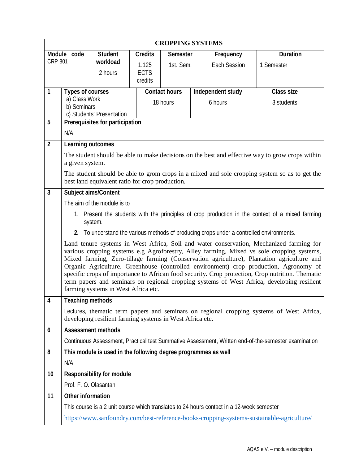| <b>CROPPING SYSTEMS</b> |                                                                                                                      |                                                                     |                      |                      |  |                                                                                           |  |                                                                                                                                                                                                                                                                                                                                                                                                                                                                                                                                                                               |  |  |
|-------------------------|----------------------------------------------------------------------------------------------------------------------|---------------------------------------------------------------------|----------------------|----------------------|--|-------------------------------------------------------------------------------------------|--|-------------------------------------------------------------------------------------------------------------------------------------------------------------------------------------------------------------------------------------------------------------------------------------------------------------------------------------------------------------------------------------------------------------------------------------------------------------------------------------------------------------------------------------------------------------------------------|--|--|
|                         | <b>Duration</b><br><b>Student</b><br><b>Credits</b><br>Module code<br><b>Semester</b><br>Frequency<br><b>CRP 801</b> |                                                                     |                      |                      |  |                                                                                           |  |                                                                                                                                                                                                                                                                                                                                                                                                                                                                                                                                                                               |  |  |
|                         |                                                                                                                      | workload<br>2 hours                                                 | 1.125<br><b>ECTS</b> | 1st. Sem.            |  | <b>Each Session</b>                                                                       |  | 1 Semester                                                                                                                                                                                                                                                                                                                                                                                                                                                                                                                                                                    |  |  |
|                         |                                                                                                                      |                                                                     | credits              |                      |  |                                                                                           |  |                                                                                                                                                                                                                                                                                                                                                                                                                                                                                                                                                                               |  |  |
| 1                       | <b>Types of courses</b><br>a) Class Work                                                                             |                                                                     |                      | <b>Contact hours</b> |  | Independent study                                                                         |  | <b>Class size</b>                                                                                                                                                                                                                                                                                                                                                                                                                                                                                                                                                             |  |  |
|                         | b) Seminars                                                                                                          |                                                                     |                      | 18 hours             |  | 6 hours                                                                                   |  | 3 students                                                                                                                                                                                                                                                                                                                                                                                                                                                                                                                                                                    |  |  |
| 5                       |                                                                                                                      | c) Students' Presentation<br><b>Prerequisites for participation</b> |                      |                      |  |                                                                                           |  |                                                                                                                                                                                                                                                                                                                                                                                                                                                                                                                                                                               |  |  |
|                         | N/A                                                                                                                  |                                                                     |                      |                      |  |                                                                                           |  |                                                                                                                                                                                                                                                                                                                                                                                                                                                                                                                                                                               |  |  |
| $\overline{\mathbf{2}}$ |                                                                                                                      | <b>Learning outcomes</b>                                            |                      |                      |  |                                                                                           |  |                                                                                                                                                                                                                                                                                                                                                                                                                                                                                                                                                                               |  |  |
|                         | a given system.                                                                                                      |                                                                     |                      |                      |  |                                                                                           |  | The student should be able to make decisions on the best and effective way to grow crops within                                                                                                                                                                                                                                                                                                                                                                                                                                                                               |  |  |
|                         |                                                                                                                      | best land equivalent ratio for crop production.                     |                      |                      |  |                                                                                           |  | The student should be able to grom crops in a mixed and sole cropping system so as to get the                                                                                                                                                                                                                                                                                                                                                                                                                                                                                 |  |  |
| $\overline{\mathbf{3}}$ |                                                                                                                      | <b>Subject aims/Content</b>                                         |                      |                      |  |                                                                                           |  |                                                                                                                                                                                                                                                                                                                                                                                                                                                                                                                                                                               |  |  |
|                         |                                                                                                                      | The aim of the module is to                                         |                      |                      |  |                                                                                           |  |                                                                                                                                                                                                                                                                                                                                                                                                                                                                                                                                                                               |  |  |
|                         |                                                                                                                      | system.                                                             |                      |                      |  |                                                                                           |  | 1. Present the students with the principles of crop production in the context of a mixed farming                                                                                                                                                                                                                                                                                                                                                                                                                                                                              |  |  |
|                         |                                                                                                                      |                                                                     |                      |                      |  | 2. To understand the various methods of producing crops under a controlled environments.  |  |                                                                                                                                                                                                                                                                                                                                                                                                                                                                                                                                                                               |  |  |
|                         |                                                                                                                      | farming systems in West Africa etc.                                 |                      |                      |  |                                                                                           |  | Land tenure systems in West Africa, Soil and water conservation, Mechanized farming for<br>various cropping systems e.g Agroforestry, Alley farming, Mixed vs sole cropping systems,<br>Mixed farming, Zero-tillage farming (Conservation agriculture), Plantation agriculture and<br>Organic Agriculture. Greenhouse (controlled environment) crop production, Agronomy of<br>specific crops of importance to African food security. Crop protection, Crop nutrition. Thematic<br>term papers and seminars on regional cropping systems of West Africa, developing resilient |  |  |
| $\overline{\mathbf{4}}$ |                                                                                                                      | <b>Teaching methods</b>                                             |                      |                      |  |                                                                                           |  |                                                                                                                                                                                                                                                                                                                                                                                                                                                                                                                                                                               |  |  |
|                         |                                                                                                                      | developing resilient farming systems in West Africa etc.            |                      |                      |  |                                                                                           |  | Lectures, thematic term papers and seminars on regional cropping systems of West Africa,                                                                                                                                                                                                                                                                                                                                                                                                                                                                                      |  |  |
| $\boldsymbol{6}$        |                                                                                                                      | <b>Assessment methods</b>                                           |                      |                      |  |                                                                                           |  |                                                                                                                                                                                                                                                                                                                                                                                                                                                                                                                                                                               |  |  |
|                         |                                                                                                                      |                                                                     |                      |                      |  |                                                                                           |  | Continuous Assessment, Practical test Summative Assessment, Written end-of-the-semester examination                                                                                                                                                                                                                                                                                                                                                                                                                                                                           |  |  |
| 8                       |                                                                                                                      | This module is used in the following degree programmes as well      |                      |                      |  |                                                                                           |  |                                                                                                                                                                                                                                                                                                                                                                                                                                                                                                                                                                               |  |  |
|                         | N/A                                                                                                                  |                                                                     |                      |                      |  |                                                                                           |  |                                                                                                                                                                                                                                                                                                                                                                                                                                                                                                                                                                               |  |  |
| 10                      |                                                                                                                      | <b>Responsibility for module</b>                                    |                      |                      |  |                                                                                           |  |                                                                                                                                                                                                                                                                                                                                                                                                                                                                                                                                                                               |  |  |
|                         |                                                                                                                      | Prof. F. O. Olasantan                                               |                      |                      |  |                                                                                           |  |                                                                                                                                                                                                                                                                                                                                                                                                                                                                                                                                                                               |  |  |
| 11                      |                                                                                                                      | <b>Other information</b>                                            |                      |                      |  |                                                                                           |  |                                                                                                                                                                                                                                                                                                                                                                                                                                                                                                                                                                               |  |  |
|                         |                                                                                                                      |                                                                     |                      |                      |  | This course is a 2 unit course which translates to 24 hours contact in a 12-week semester |  |                                                                                                                                                                                                                                                                                                                                                                                                                                                                                                                                                                               |  |  |
|                         |                                                                                                                      |                                                                     |                      |                      |  |                                                                                           |  | https://www.sanfoundry.com/best-reference-books-cropping-systems-sustainable-agriculture/                                                                                                                                                                                                                                                                                                                                                                                                                                                                                     |  |  |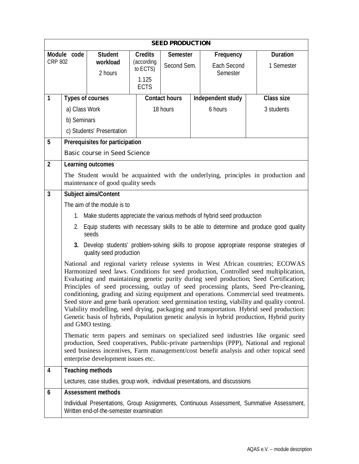| <b>SEED PRODUCTION</b>        |                                                                                                                                                                                                                                                                                                                                                                                                                                                                                                                                                                                                                                                                                                                                                                |                                                                               |                                                                  |                                |  |                                             |                                                                                           |  |  |
|-------------------------------|----------------------------------------------------------------------------------------------------------------------------------------------------------------------------------------------------------------------------------------------------------------------------------------------------------------------------------------------------------------------------------------------------------------------------------------------------------------------------------------------------------------------------------------------------------------------------------------------------------------------------------------------------------------------------------------------------------------------------------------------------------------|-------------------------------------------------------------------------------|------------------------------------------------------------------|--------------------------------|--|---------------------------------------------|-------------------------------------------------------------------------------------------|--|--|
| Module code<br><b>CRP 802</b> |                                                                                                                                                                                                                                                                                                                                                                                                                                                                                                                                                                                                                                                                                                                                                                | <b>Student</b><br>workload<br>2 hours                                         | <b>Credits</b><br>(according<br>to ECTS)<br>1.125<br><b>ECTS</b> | <b>Semester</b><br>Second Sem. |  | Frequency<br><b>Each Second</b><br>Semester | <b>Duration</b><br>1 Semester                                                             |  |  |
| 1                             |                                                                                                                                                                                                                                                                                                                                                                                                                                                                                                                                                                                                                                                                                                                                                                | <b>Types of courses</b>                                                       |                                                                  | <b>Contact hours</b>           |  | Independent study                           | <b>Class size</b>                                                                         |  |  |
|                               | a) Class Work                                                                                                                                                                                                                                                                                                                                                                                                                                                                                                                                                                                                                                                                                                                                                  |                                                                               |                                                                  | 18 hours                       |  | 6 hours                                     | 3 students                                                                                |  |  |
|                               | b) Seminars                                                                                                                                                                                                                                                                                                                                                                                                                                                                                                                                                                                                                                                                                                                                                    |                                                                               |                                                                  |                                |  |                                             |                                                                                           |  |  |
|                               |                                                                                                                                                                                                                                                                                                                                                                                                                                                                                                                                                                                                                                                                                                                                                                | c) Students' Presentation                                                     |                                                                  |                                |  |                                             |                                                                                           |  |  |
| 5                             |                                                                                                                                                                                                                                                                                                                                                                                                                                                                                                                                                                                                                                                                                                                                                                | <b>Prerequisites for participation</b>                                        |                                                                  |                                |  |                                             |                                                                                           |  |  |
|                               |                                                                                                                                                                                                                                                                                                                                                                                                                                                                                                                                                                                                                                                                                                                                                                | Basic course in Seed Science                                                  |                                                                  |                                |  |                                             |                                                                                           |  |  |
| $\overline{2}$                |                                                                                                                                                                                                                                                                                                                                                                                                                                                                                                                                                                                                                                                                                                                                                                | <b>Learning outcomes</b>                                                      |                                                                  |                                |  |                                             |                                                                                           |  |  |
|                               |                                                                                                                                                                                                                                                                                                                                                                                                                                                                                                                                                                                                                                                                                                                                                                | maintenance of good quality seeds                                             |                                                                  |                                |  |                                             | The Student would be acquainted with the underlying, principles in production and         |  |  |
| $\overline{\mathbf{3}}$       |                                                                                                                                                                                                                                                                                                                                                                                                                                                                                                                                                                                                                                                                                                                                                                | <b>Subject aims/Content</b>                                                   |                                                                  |                                |  |                                             |                                                                                           |  |  |
|                               |                                                                                                                                                                                                                                                                                                                                                                                                                                                                                                                                                                                                                                                                                                                                                                | The aim of the module is to                                                   |                                                                  |                                |  |                                             |                                                                                           |  |  |
|                               |                                                                                                                                                                                                                                                                                                                                                                                                                                                                                                                                                                                                                                                                                                                                                                | 1. Make students appreciate the various methods of hybrid seed produuction    |                                                                  |                                |  |                                             |                                                                                           |  |  |
|                               |                                                                                                                                                                                                                                                                                                                                                                                                                                                                                                                                                                                                                                                                                                                                                                | seeds                                                                         |                                                                  |                                |  |                                             | 2. Equip students with necessary skills to be able to determine and produce good quality  |  |  |
|                               |                                                                                                                                                                                                                                                                                                                                                                                                                                                                                                                                                                                                                                                                                                                                                                | quality seed production                                                       |                                                                  |                                |  |                                             | 3. Develop students' problem-solving skills to propose appropriate response strategies of |  |  |
|                               | National and regional variety release systems in West African countries; ECOWAS<br>Harmonized seed laws. Conditions for seed production, Controlled seed multiplication,<br>Evaluating and maintaining genetic purity during seed production; Seed Certification;<br>Principles of seed processing, outlay of seed processing plants, Seed Pre-cleaning,<br>conditioning, grading and sizing equipment and operations. Commercial seed treatments.<br>Seed store and gene bank operation: seed germination testing, viability and quality control.<br>Viability modelling, seed drying, packaging and transportation. Hybrid seed production:<br>Genetic basis of hybrids, Population genetic analysis in hybrid production, Hybrid purity<br>and GMO testing. |                                                                               |                                                                  |                                |  |                                             |                                                                                           |  |  |
|                               | The matic term papers and seminars on specialized seed industries like organic seed<br>production, Seed cooperatives, Public-private partnerships (PPP), National and regional<br>seed business incentives, Farm management/cost benefit analysis and other topical seed<br>enterprise development issues etc.                                                                                                                                                                                                                                                                                                                                                                                                                                                 |                                                                               |                                                                  |                                |  |                                             |                                                                                           |  |  |
| 4                             |                                                                                                                                                                                                                                                                                                                                                                                                                                                                                                                                                                                                                                                                                                                                                                | <b>Teaching methods</b>                                                       |                                                                  |                                |  |                                             |                                                                                           |  |  |
|                               |                                                                                                                                                                                                                                                                                                                                                                                                                                                                                                                                                                                                                                                                                                                                                                | Lectures, case studies, group work, individual presentations, and discussions |                                                                  |                                |  |                                             |                                                                                           |  |  |
| 6                             |                                                                                                                                                                                                                                                                                                                                                                                                                                                                                                                                                                                                                                                                                                                                                                | <b>Assessment methods</b>                                                     |                                                                  |                                |  |                                             |                                                                                           |  |  |
|                               |                                                                                                                                                                                                                                                                                                                                                                                                                                                                                                                                                                                                                                                                                                                                                                | Written end-of-the-semester examination                                       |                                                                  |                                |  |                                             | Individual Presentations, Group Assignments, Continuous Assessment, Summative Assessment, |  |  |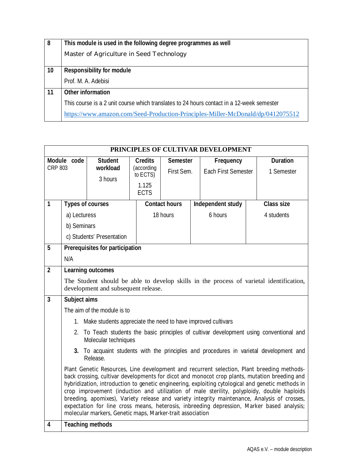| 8  | This module is used in the following degree programmes as well                            |
|----|-------------------------------------------------------------------------------------------|
|    | Master of Agriculture in Seed Technology                                                  |
|    |                                                                                           |
| 10 | <b>Responsibility for module</b>                                                          |
|    | Prof. M. A. Adebisi                                                                       |
| 11 | <b>Other information</b>                                                                  |
|    | This course is a 2 unit course which translates to 24 hours contact in a 12-week semester |
|    | https://www.amazon.com/Seed-Production-Principles-Miller-McDonald/dp/0412075512           |

|                         | PRINCIPLES OF CULTIVAR DEVELOPMENT                                                                                                                                                                                                                                                                                                                                                                                                                                                                                                                                                                                                                        |                                                                 |                        |                      |                            |                   |  |                                                                                          |  |  |  |
|-------------------------|-----------------------------------------------------------------------------------------------------------------------------------------------------------------------------------------------------------------------------------------------------------------------------------------------------------------------------------------------------------------------------------------------------------------------------------------------------------------------------------------------------------------------------------------------------------------------------------------------------------------------------------------------------------|-----------------------------------------------------------------|------------------------|----------------------|----------------------------|-------------------|--|------------------------------------------------------------------------------------------|--|--|--|
|                         | Module code                                                                                                                                                                                                                                                                                                                                                                                                                                                                                                                                                                                                                                               | <b>Student</b>                                                  | <b>Credits</b>         | <b>Semester</b>      |                            | Frequency         |  | <b>Duration</b>                                                                          |  |  |  |
| CRP 803                 |                                                                                                                                                                                                                                                                                                                                                                                                                                                                                                                                                                                                                                                           | workload                                                        | (according<br>to ECTS) | First Sem.           | <b>Each First Semester</b> |                   |  | 1 Semester                                                                               |  |  |  |
|                         |                                                                                                                                                                                                                                                                                                                                                                                                                                                                                                                                                                                                                                                           | 3 hours                                                         | 1.125                  |                      |                            |                   |  |                                                                                          |  |  |  |
|                         |                                                                                                                                                                                                                                                                                                                                                                                                                                                                                                                                                                                                                                                           |                                                                 | <b>ECTS</b>            |                      |                            |                   |  |                                                                                          |  |  |  |
| $\overline{\mathbf{1}}$ |                                                                                                                                                                                                                                                                                                                                                                                                                                                                                                                                                                                                                                                           | <b>Types of courses</b>                                         |                        | <b>Contact hours</b> |                            | Independent study |  | <b>Class size</b>                                                                        |  |  |  |
|                         | a) Lecturess                                                                                                                                                                                                                                                                                                                                                                                                                                                                                                                                                                                                                                              |                                                                 |                        | 18 hours             |                            | 6 hours           |  | 4 students                                                                               |  |  |  |
|                         | b) Seminars                                                                                                                                                                                                                                                                                                                                                                                                                                                                                                                                                                                                                                               |                                                                 |                        |                      |                            |                   |  |                                                                                          |  |  |  |
|                         |                                                                                                                                                                                                                                                                                                                                                                                                                                                                                                                                                                                                                                                           | c) Students' Presentation                                       |                        |                      |                            |                   |  |                                                                                          |  |  |  |
| 5                       |                                                                                                                                                                                                                                                                                                                                                                                                                                                                                                                                                                                                                                                           | <b>Prerequisites for participation</b>                          |                        |                      |                            |                   |  |                                                                                          |  |  |  |
|                         | N/A                                                                                                                                                                                                                                                                                                                                                                                                                                                                                                                                                                                                                                                       |                                                                 |                        |                      |                            |                   |  |                                                                                          |  |  |  |
| $\overline{2}$          |                                                                                                                                                                                                                                                                                                                                                                                                                                                                                                                                                                                                                                                           | <b>Learning outcomes</b>                                        |                        |                      |                            |                   |  |                                                                                          |  |  |  |
|                         |                                                                                                                                                                                                                                                                                                                                                                                                                                                                                                                                                                                                                                                           |                                                                 |                        |                      |                            |                   |  | The Student should be able to develop skills in the process of varietal identification,  |  |  |  |
|                         |                                                                                                                                                                                                                                                                                                                                                                                                                                                                                                                                                                                                                                                           | development and subsequent release.                             |                        |                      |                            |                   |  |                                                                                          |  |  |  |
| $\overline{3}$          | Subject aims                                                                                                                                                                                                                                                                                                                                                                                                                                                                                                                                                                                                                                              |                                                                 |                        |                      |                            |                   |  |                                                                                          |  |  |  |
|                         |                                                                                                                                                                                                                                                                                                                                                                                                                                                                                                                                                                                                                                                           | The aim of the module is to                                     |                        |                      |                            |                   |  |                                                                                          |  |  |  |
|                         |                                                                                                                                                                                                                                                                                                                                                                                                                                                                                                                                                                                                                                                           | 1. Make students appreciate the need to have improved cultivars |                        |                      |                            |                   |  |                                                                                          |  |  |  |
|                         |                                                                                                                                                                                                                                                                                                                                                                                                                                                                                                                                                                                                                                                           | Molecular techniques                                            |                        |                      |                            |                   |  | 2. To Teach students the basic principles of cultivar development using conventional and |  |  |  |
|                         |                                                                                                                                                                                                                                                                                                                                                                                                                                                                                                                                                                                                                                                           | Release.                                                        |                        |                      |                            |                   |  | 3. To acquaint students with the principles and procedures in varietal development and   |  |  |  |
|                         | Plant Genetic Resources, Line development and recurrent selection, Plant breeding methods-<br>back crossing, cultivar developments for dicot and monocot crop plants, mutation breeding and<br>hybridization, introduction to genetic engineering, exploiting cytological and genetic methods in<br>crop improvement (induction and utilization of male sterility, polyploidy, double haploids<br>breeding, apomixes), Variety release and variety integrity maintenance, Analysis of crosses,<br>expectation for line cross means, heterosis, inbreeding depression, Marker based analysis;<br>molecular markers, Genetic maps, Marker-trait association |                                                                 |                        |                      |                            |                   |  |                                                                                          |  |  |  |
| 4                       |                                                                                                                                                                                                                                                                                                                                                                                                                                                                                                                                                                                                                                                           | <b>Teaching methods</b>                                         |                        |                      |                            |                   |  |                                                                                          |  |  |  |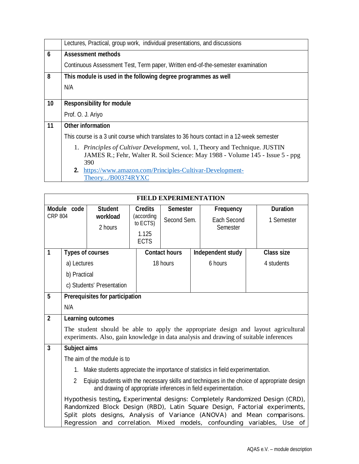| Lectures, Practical, group work, individual presentations, and discussions                |
|-------------------------------------------------------------------------------------------|
| <b>Assessment methods</b>                                                                 |
| Continuous Assessment Test, Term paper, Written end-of-the-semester examination           |
| This module is used in the following degree programmes as well                            |
| N/A                                                                                       |
|                                                                                           |
| <b>Responsibility for module</b>                                                          |
| Prof. O. J. Ariyo                                                                         |
| <b>Other information</b>                                                                  |
| This course is a 3 unit course which translates to 36 hours contact in a 12-week semester |
| 1. Principles of Cultivar Development, vol. 1, Theory and Technique. JUSTIN               |
| JAMES R.; Fehr, Walter R. Soil Science: May 1988 - Volume 145 - Issue 5 - ppg             |
| 390                                                                                       |
| 2. https://www.amazon.com/Principles-Cultivar-Development-<br>Theory/B00374RYXC           |
|                                                                                           |

|                         |                                                                                                                                                                      |                                        |                        | <b>FIELD EXPERIMENTATION</b> |  |                                                                                                                                                                                                                                                                                                                   |  |                   |
|-------------------------|----------------------------------------------------------------------------------------------------------------------------------------------------------------------|----------------------------------------|------------------------|------------------------------|--|-------------------------------------------------------------------------------------------------------------------------------------------------------------------------------------------------------------------------------------------------------------------------------------------------------------------|--|-------------------|
|                         | Module code                                                                                                                                                          | <b>Student</b>                         | <b>Credits</b>         | <b>Semester</b>              |  | Frequency                                                                                                                                                                                                                                                                                                         |  | <b>Duration</b>   |
| <b>CRP 804</b>          |                                                                                                                                                                      | workload                               | (according<br>to ECTS) | Second Sem.                  |  | <b>Each Second</b>                                                                                                                                                                                                                                                                                                |  | 1 Semester        |
|                         |                                                                                                                                                                      | 2 hours                                | 1.125                  |                              |  | Semester                                                                                                                                                                                                                                                                                                          |  |                   |
|                         |                                                                                                                                                                      |                                        | <b>ECTS</b>            |                              |  |                                                                                                                                                                                                                                                                                                                   |  |                   |
| 1                       |                                                                                                                                                                      | <b>Types of courses</b>                |                        | <b>Contact hours</b>         |  | Independent study                                                                                                                                                                                                                                                                                                 |  | <b>Class size</b> |
|                         | a) Lectures                                                                                                                                                          |                                        |                        | 18 hours                     |  | 6 hours                                                                                                                                                                                                                                                                                                           |  | 4 students        |
|                         | b) Practical                                                                                                                                                         |                                        |                        |                              |  |                                                                                                                                                                                                                                                                                                                   |  |                   |
|                         |                                                                                                                                                                      | c) Students' Presentation              |                        |                              |  |                                                                                                                                                                                                                                                                                                                   |  |                   |
| 5                       |                                                                                                                                                                      | <b>Prerequisites for participation</b> |                        |                              |  |                                                                                                                                                                                                                                                                                                                   |  |                   |
|                         | N/A                                                                                                                                                                  |                                        |                        |                              |  |                                                                                                                                                                                                                                                                                                                   |  |                   |
| $\overline{2}$          |                                                                                                                                                                      | <b>Learning outcomes</b>               |                        |                              |  |                                                                                                                                                                                                                                                                                                                   |  |                   |
|                         |                                                                                                                                                                      |                                        |                        |                              |  | The student should be able to apply the appropriate design and layout agricultural<br>experiments. Also, gain knowledge in data analysis and drawing of suitable inferences                                                                                                                                       |  |                   |
| $\overline{\mathbf{3}}$ | Subject aims                                                                                                                                                         |                                        |                        |                              |  |                                                                                                                                                                                                                                                                                                                   |  |                   |
|                         |                                                                                                                                                                      | The aim of the module is to            |                        |                              |  |                                                                                                                                                                                                                                                                                                                   |  |                   |
|                         |                                                                                                                                                                      |                                        |                        |                              |  | 1. Make students appreciate the importance of statistics in field experimentation.                                                                                                                                                                                                                                |  |                   |
|                         | Eqiuip students with the necessary skills and techniques in the choice of appropriate design<br>2<br>and drawing of appropriate inferences in field experimentation. |                                        |                        |                              |  |                                                                                                                                                                                                                                                                                                                   |  |                   |
|                         |                                                                                                                                                                      |                                        |                        |                              |  | Hypothesis testing, Experimental designs: Completely Randomized Design (CRD),<br>Randomized Block Design (RBD), Latin Square Design, Factorial experiments,<br>Split plots designs, Analysis of Variance (ANOVA) and Mean comparisons.<br>Regression and correlation. Mixed models, confounding variables, Use of |  |                   |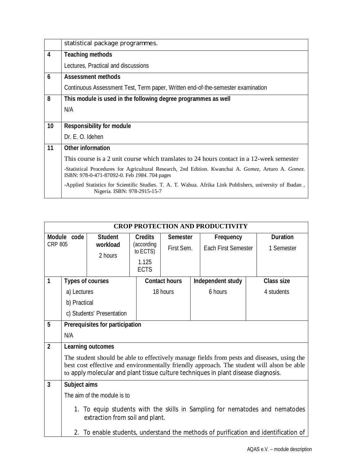|                  | statistical package programmes.                                                                                                                     |
|------------------|-----------------------------------------------------------------------------------------------------------------------------------------------------|
| 4                | <b>Teaching methods</b>                                                                                                                             |
|                  | Lectures, Practical and discussions                                                                                                                 |
| $\boldsymbol{6}$ | <b>Assessment methods</b>                                                                                                                           |
|                  | Continuous Assessment Test, Term paper, Written end-of-the-semester examination                                                                     |
| 8                | This module is used in the following degree programmes as well                                                                                      |
|                  | N/A                                                                                                                                                 |
|                  |                                                                                                                                                     |
| 10 <sup>°</sup>  | <b>Responsibility for module</b>                                                                                                                    |
|                  | Dr. E. O. Idehen                                                                                                                                    |
| 11               | <b>Other information</b>                                                                                                                            |
|                  | This course is a 2 unit course which translates to 24 hours contact in a 12-week semester                                                           |
|                  | -Statistical Procedures for Agricultural Research, 2nd Edition. Kwanchai A. Gomez, Arturo A. Gomez.<br>ISBN: 978-0-471-87092-0. Feb 1984. 704 pages |
|                  | -Applied Statistics for Scientific Studies. T. A. T. Wahua. Afrika Link Publishers, university of Ibadan,<br>Nigeria. ISBN: 978-2915-15-7           |

|                                                             | <b>CROP PROTECTION AND PRODUCTIVITY</b> |                                                                                    |                      |                      |           |                            |                 |                                                                                                                                                                                         |  |
|-------------------------------------------------------------|-----------------------------------------|------------------------------------------------------------------------------------|----------------------|----------------------|-----------|----------------------------|-----------------|-----------------------------------------------------------------------------------------------------------------------------------------------------------------------------------------|--|
| <b>Student</b><br>Module code<br><b>CRP 805</b><br>workload |                                         | <b>Credits</b><br>(according                                                       | <b>Semester</b>      |                      | Frequency |                            | <b>Duration</b> |                                                                                                                                                                                         |  |
|                                                             |                                         | 2 hours                                                                            | to ECTS)             | First Sem.           |           | <b>Each First Semester</b> |                 | 1 Semester                                                                                                                                                                              |  |
|                                                             |                                         |                                                                                    | 1.125<br><b>ECTS</b> |                      |           |                            |                 |                                                                                                                                                                                         |  |
| 1                                                           |                                         | <b>Types of courses</b>                                                            |                      | <b>Contact hours</b> |           | Independent study          |                 | <b>Class size</b>                                                                                                                                                                       |  |
|                                                             | a) Lectures                             |                                                                                    |                      | 18 hours             |           | 6 hours                    |                 | 4 students                                                                                                                                                                              |  |
|                                                             | b) Practical                            |                                                                                    |                      |                      |           |                            |                 |                                                                                                                                                                                         |  |
|                                                             |                                         | c) Students' Presentation                                                          |                      |                      |           |                            |                 |                                                                                                                                                                                         |  |
| 5                                                           |                                         | <b>Prerequisites for participation</b>                                             |                      |                      |           |                            |                 |                                                                                                                                                                                         |  |
|                                                             | N/A                                     |                                                                                    |                      |                      |           |                            |                 |                                                                                                                                                                                         |  |
| $\mathbf{2}$                                                |                                         | <b>Learning outcomes</b>                                                           |                      |                      |           |                            |                 |                                                                                                                                                                                         |  |
|                                                             |                                         |                                                                                    |                      |                      |           |                            |                 | The student should be able to effectively manage fields from pests and diseases, using the<br>best cost effective and environmentally friendly approach. The student will alson be able |  |
|                                                             |                                         | to apply molecular and plant tissue culture techniques in plant disease diagnosis. |                      |                      |           |                            |                 |                                                                                                                                                                                         |  |
| $\overline{3}$                                              | Subject aims                            |                                                                                    |                      |                      |           |                            |                 |                                                                                                                                                                                         |  |
|                                                             |                                         | The aim of the module is to                                                        |                      |                      |           |                            |                 |                                                                                                                                                                                         |  |
|                                                             |                                         | extraction from soil and plant.                                                    |                      |                      |           |                            |                 | 1. To equip students with the skills in Sampling for nematodes and nematodes                                                                                                            |  |
|                                                             |                                         |                                                                                    |                      |                      |           |                            |                 | 2. To enable students, understand the methods of purification and identification of                                                                                                     |  |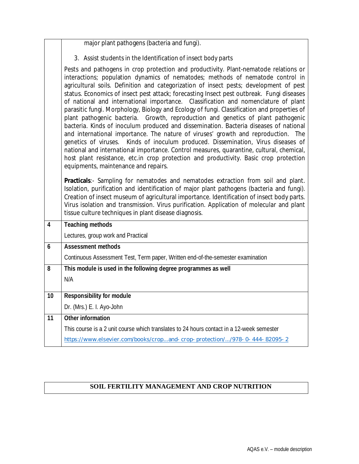| major plant pathogens (bacteria and fungi). |  |
|---------------------------------------------|--|
|                                             |  |

3. Assist students in the Identification of insect body parts

Pests and pathogens in crop protection and productivity. Plant-nematode relations or interactions; population dynamics of nematodes; methods of nematode control in agricultural soils. Definition and categorization of insect pests; development of pest status. Economics of insect pest attack; forecasting Insect pest outbreak. Fungi diseases of national and international importance. Classification and nomenclature of plant parasitic fungi. Morphology, Biology and Ecology of fungi. Classification and properties of plant pathogenic bacteria. Growth, reproduction and genetics of plant pathogenic bacteria. Kinds of inoculum produced and dissemination. Bacteria diseases of national and international importance. The nature of viruses' growth and reproduction. The genetics of viruses. Kinds of inoculum produced. Dissemination, Virus diseases of national and international importance. Control measures, quarantine, cultural, chemical, host plant resistance, etc.in crop protection and productivity. Basic crop protection equipments, maintenance and repairs.

**Practicals**:- Sampling for nematodes and nematodes extraction from soil and plant. Isolation, purification and identification of major plant pathogens (bacteria and fungi). Creation of insect museum of agricultural importance. Identification of insect body parts. Virus isolation and transmission. Virus purification. Application of molecular and plant tissue culture techniques in plant disease diagnosis.

| $\overline{\mathbf{4}}$ | <b>Teaching methods</b>                                                                   |
|-------------------------|-------------------------------------------------------------------------------------------|
|                         | Lectures, group work and Practical                                                        |
| $\boldsymbol{6}$        | <b>Assessment methods</b>                                                                 |
|                         | Continuous Assessment Test, Term paper, Written end-of-the-semester examination           |
| 8                       | This module is used in the following degree programmes as well                            |
|                         | N/A                                                                                       |
|                         |                                                                                           |
| 10 <sup>1</sup>         | <b>Responsibility for module</b>                                                          |
|                         | Dr. (Mrs.) E. I. Ayo-John                                                                 |
| 11                      | <b>Other information</b>                                                                  |
|                         | This course is a 2 unit course which translates to 24 hours contact in a 12-week semester |
|                         | https://www.elsevier.com/books/cropand-crop-protection//978-0-444-82095-2                 |
|                         |                                                                                           |

## **SOIL FERTILITY MANAGEMENT AND CROP NUTRITION**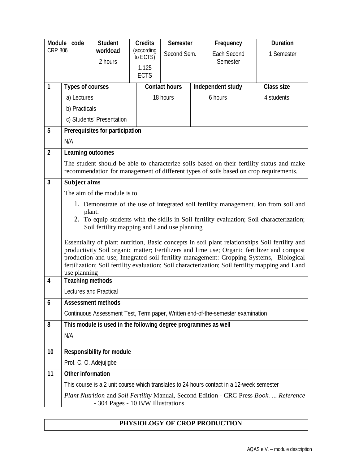| Module code             |                         | <b>Student</b>                                                                            | <b>Credits</b>         | Semester             | Frequency          | <b>Duration</b>                                                                                                                                                                                                                                                                                                                                                                            |
|-------------------------|-------------------------|-------------------------------------------------------------------------------------------|------------------------|----------------------|--------------------|--------------------------------------------------------------------------------------------------------------------------------------------------------------------------------------------------------------------------------------------------------------------------------------------------------------------------------------------------------------------------------------------|
| <b>CRP 806</b>          |                         | workload                                                                                  | (according<br>to ECTS) | Second Sem.          | <b>Each Second</b> | 1 Semester                                                                                                                                                                                                                                                                                                                                                                                 |
|                         |                         | 2 hours                                                                                   | 1.125                  |                      | Semester           |                                                                                                                                                                                                                                                                                                                                                                                            |
|                         |                         |                                                                                           | <b>ECTS</b>            |                      |                    |                                                                                                                                                                                                                                                                                                                                                                                            |
| 1                       | <b>Types of courses</b> |                                                                                           |                        | <b>Contact hours</b> | Independent study  | <b>Class size</b>                                                                                                                                                                                                                                                                                                                                                                          |
|                         | a) Lectures             |                                                                                           |                        | 18 hours             | 6 hours            | 4 students                                                                                                                                                                                                                                                                                                                                                                                 |
|                         | b) Practicals           |                                                                                           |                        |                      |                    |                                                                                                                                                                                                                                                                                                                                                                                            |
|                         |                         | c) Students' Presentation                                                                 |                        |                      |                    |                                                                                                                                                                                                                                                                                                                                                                                            |
| 5                       |                         | <b>Prerequisites for participation</b>                                                    |                        |                      |                    |                                                                                                                                                                                                                                                                                                                                                                                            |
|                         | N/A                     |                                                                                           |                        |                      |                    |                                                                                                                                                                                                                                                                                                                                                                                            |
| $\overline{2}$          |                         | <b>Learning outcomes</b>                                                                  |                        |                      |                    |                                                                                                                                                                                                                                                                                                                                                                                            |
|                         |                         |                                                                                           |                        |                      |                    | The student should be able to characterize soils based on their fertility status and make<br>recommendation for management of different types of soils based on crop requirements.                                                                                                                                                                                                         |
| $\overline{\mathbf{3}}$ | <b>Subject aims</b>     |                                                                                           |                        |                      |                    |                                                                                                                                                                                                                                                                                                                                                                                            |
|                         |                         | The aim of the module is to                                                               |                        |                      |                    |                                                                                                                                                                                                                                                                                                                                                                                            |
|                         |                         | plant.<br>Soil fertility mapping and Land use planning                                    |                        |                      |                    | 1. Demonstrate of the use of integrated soil fertility management. ion from soil and<br>2. To equip students with the skills in Soil fertility evaluation; Soil characterization;                                                                                                                                                                                                          |
|                         | use planning            |                                                                                           |                        |                      |                    | Essentiality of plant nutrition, Basic concepts in soil plant relationships Soil fertility and<br>productivity Soil organic matter; Fertilizers and lime use; Organic fertilizer and compost<br>production and use; Integrated soil fertility management: Cropping Systems, Biological<br>fertilization; Soil fertility evaluation; Soil characterization; Soil fertility mapping and Land |
| 4                       |                         | <b>Teaching methods</b>                                                                   |                        |                      |                    |                                                                                                                                                                                                                                                                                                                                                                                            |
|                         |                         | Lectures and Practical                                                                    |                        |                      |                    |                                                                                                                                                                                                                                                                                                                                                                                            |
| 6                       |                         | <b>Assessment methods</b>                                                                 |                        |                      |                    |                                                                                                                                                                                                                                                                                                                                                                                            |
|                         |                         | Continuous Assessment Test, Term paper, Written end-of-the-semester examination           |                        |                      |                    |                                                                                                                                                                                                                                                                                                                                                                                            |
| 8                       |                         | This module is used in the following degree programmes as well                            |                        |                      |                    |                                                                                                                                                                                                                                                                                                                                                                                            |
|                         | N/A                     |                                                                                           |                        |                      |                    |                                                                                                                                                                                                                                                                                                                                                                                            |
| 10                      |                         | <b>Responsibility for module</b>                                                          |                        |                      |                    |                                                                                                                                                                                                                                                                                                                                                                                            |
|                         |                         | Prof. C. O. Adejujigbe                                                                    |                        |                      |                    |                                                                                                                                                                                                                                                                                                                                                                                            |
| 11                      |                         | <b>Other information</b>                                                                  |                        |                      |                    |                                                                                                                                                                                                                                                                                                                                                                                            |
|                         |                         | This course is a 2 unit course which translates to 24 hours contact in a 12-week semester |                        |                      |                    |                                                                                                                                                                                                                                                                                                                                                                                            |
|                         |                         | - 304 Pages - 10 B/W Illustrations                                                        |                        |                      |                    | Plant Nutrition and Soil Fertility Manual, Second Edition - CRC Press Book.  Reference                                                                                                                                                                                                                                                                                                     |

## **PHYSIOLOGY OF CROP PRODUCTION**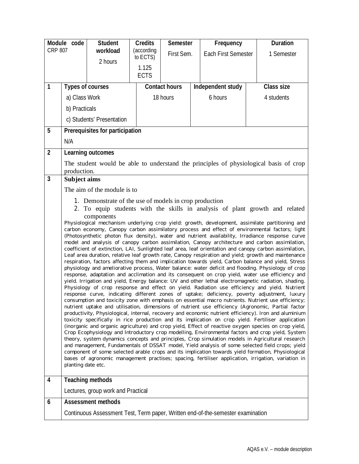|                         | Module code             | <b>Student</b>                                         | <b>Credits</b>                                                                                     | <b>Semester</b>                                                                                                                                                                                       |  | Frequency                                                                                                                                                                                                     |  | <b>Duration</b>   |  |
|-------------------------|-------------------------|--------------------------------------------------------|----------------------------------------------------------------------------------------------------|-------------------------------------------------------------------------------------------------------------------------------------------------------------------------------------------------------|--|---------------------------------------------------------------------------------------------------------------------------------------------------------------------------------------------------------------|--|-------------------|--|
| <b>CRP 807</b>          |                         | workload                                               | (according                                                                                         | First Sem.<br>to ECTS)                                                                                                                                                                                |  | <b>Each First Semester</b>                                                                                                                                                                                    |  | 1 Semester        |  |
|                         |                         | 2 hours                                                | 1.125                                                                                              |                                                                                                                                                                                                       |  |                                                                                                                                                                                                               |  |                   |  |
|                         |                         |                                                        | <b>ECTS</b>                                                                                        |                                                                                                                                                                                                       |  |                                                                                                                                                                                                               |  |                   |  |
| 1                       | <b>Types of courses</b> |                                                        |                                                                                                    | <b>Contact hours</b>                                                                                                                                                                                  |  | Independent study                                                                                                                                                                                             |  | <b>Class size</b> |  |
|                         | a) Class Work           |                                                        |                                                                                                    | 18 hours                                                                                                                                                                                              |  | 6 hours                                                                                                                                                                                                       |  | 4 students        |  |
|                         | b) Practicals           |                                                        |                                                                                                    |                                                                                                                                                                                                       |  |                                                                                                                                                                                                               |  |                   |  |
|                         |                         | c) Students' Presentation                              |                                                                                                    |                                                                                                                                                                                                       |  |                                                                                                                                                                                                               |  |                   |  |
| 5                       |                         | <b>Prerequisites for participation</b>                 |                                                                                                    |                                                                                                                                                                                                       |  |                                                                                                                                                                                                               |  |                   |  |
|                         | N/A                     |                                                        |                                                                                                    |                                                                                                                                                                                                       |  |                                                                                                                                                                                                               |  |                   |  |
| $\mathbf{2}$            |                         | <b>Learning outcomes</b>                               |                                                                                                    |                                                                                                                                                                                                       |  |                                                                                                                                                                                                               |  |                   |  |
|                         | production.             |                                                        |                                                                                                    |                                                                                                                                                                                                       |  | The student would be able to understand the principles of physiological basis of crop                                                                                                                         |  |                   |  |
| $\overline{\mathbf{3}}$ | <b>Subject aims</b>     |                                                        |                                                                                                    |                                                                                                                                                                                                       |  |                                                                                                                                                                                                               |  |                   |  |
|                         |                         | The aim of the module is to                            |                                                                                                    |                                                                                                                                                                                                       |  |                                                                                                                                                                                                               |  |                   |  |
|                         |                         | 1. Demonstrate of the use of models in crop production |                                                                                                    |                                                                                                                                                                                                       |  |                                                                                                                                                                                                               |  |                   |  |
|                         |                         |                                                        |                                                                                                    |                                                                                                                                                                                                       |  | 2. To equip students with the skills in analysis of plant growth and related                                                                                                                                  |  |                   |  |
|                         |                         | components                                             |                                                                                                    |                                                                                                                                                                                                       |  | Physiological mechanism underlying crop yield: growth, development, assimilate partitioning and                                                                                                               |  |                   |  |
|                         |                         |                                                        |                                                                                                    |                                                                                                                                                                                                       |  | carbon economy, Canopy carbon assimilatory process and effect of environmental factors; light<br>(Photosynthetic photon flux density), water and nutrient availability, Irradiance response curve             |  |                   |  |
|                         |                         |                                                        |                                                                                                    |                                                                                                                                                                                                       |  | model and analysis of canopy carbon assimilation, Canopy architecture and carbon assimilation,                                                                                                                |  |                   |  |
|                         |                         |                                                        |                                                                                                    |                                                                                                                                                                                                       |  | coefficient of extinction, LAI, Sunlighted leaf area, leaf orientation and canopy carbon assimilation,<br>Leaf area duration, relative leaf growth rate, Canopy respiration and yield; growth and maintenance |  |                   |  |
|                         |                         |                                                        |                                                                                                    |                                                                                                                                                                                                       |  | respiration, factors affecting them and implication towards yield, Carbon balance and yield, Stress<br>physiology and ameliorative process, Water balance: water deficit and flooding. Physiology of crop     |  |                   |  |
|                         |                         |                                                        |                                                                                                    |                                                                                                                                                                                                       |  | response, adaptation and acclimation and its consequent on crop yield, water use efficiency and                                                                                                               |  |                   |  |
|                         |                         |                                                        |                                                                                                    |                                                                                                                                                                                                       |  | yield. Irrigation and yield, Energy balance: UV and other lethal electromagnetic radiation, shading.<br>Physiology of crop response and effect on yield. Radiation use efficiency and yield. Nutrient         |  |                   |  |
|                         |                         |                                                        |                                                                                                    |                                                                                                                                                                                                       |  | response curve, indicating different zones of uptake; deficiency, poverty adjustment, luxury<br>consumption and toxicity zone with emphasis on essential macro nutrients. Nutrient use efficiency;            |  |                   |  |
|                         |                         |                                                        |                                                                                                    |                                                                                                                                                                                                       |  | nutrient uptake and utilisation, dimensions of nutrient use efficiency (Agronomic, Partial factor                                                                                                             |  |                   |  |
|                         |                         |                                                        |                                                                                                    |                                                                                                                                                                                                       |  | productivity, Physiological, internal, recovery and economic nutrient efficiency). Iron and aluminium<br>toxicity specifically in rice production and its implication on crop yield. Fertiliser application   |  |                   |  |
|                         |                         |                                                        |                                                                                                    |                                                                                                                                                                                                       |  | (inorganic and organic agriculture) and crop yield, Effect of reactive oxygen species on crop yield,<br>Crop Ecophysiology and Introductory crop modelling, Environmental factors and crop yield, System      |  |                   |  |
|                         |                         |                                                        |                                                                                                    |                                                                                                                                                                                                       |  | theory, system dynamics concepts and principles, Crop simulation models in Agricultural research                                                                                                              |  |                   |  |
|                         |                         |                                                        |                                                                                                    | and management, Fundamentals of DSSAT model, Yield analysis of some selected field crops; yield<br>component of some selected arable crops and its implication towards yield formation, Physiological |  |                                                                                                                                                                                                               |  |                   |  |
| planting date etc.      |                         |                                                        | bases of agronomic management practises; spacing, fertiliser application, irrigation, variation in |                                                                                                                                                                                                       |  |                                                                                                                                                                                                               |  |                   |  |
|                         |                         |                                                        |                                                                                                    |                                                                                                                                                                                                       |  |                                                                                                                                                                                                               |  |                   |  |
| 4                       |                         | <b>Teaching methods</b>                                |                                                                                                    |                                                                                                                                                                                                       |  |                                                                                                                                                                                                               |  |                   |  |
|                         |                         | Lectures, group work and Practical                     |                                                                                                    |                                                                                                                                                                                                       |  |                                                                                                                                                                                                               |  |                   |  |
| 6                       |                         | <b>Assessment methods</b>                              |                                                                                                    |                                                                                                                                                                                                       |  |                                                                                                                                                                                                               |  |                   |  |
|                         |                         |                                                        |                                                                                                    |                                                                                                                                                                                                       |  | Continuous Assessment Test, Term paper, Written end-of-the-semester examination                                                                                                                               |  |                   |  |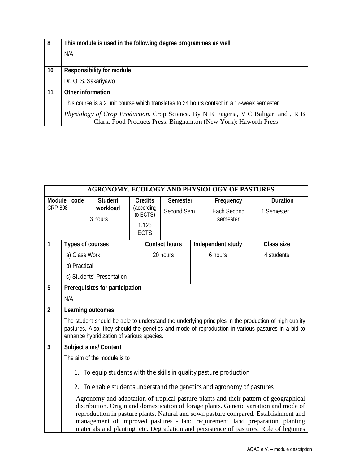| 8  | This module is used in the following degree programmes as well                            |
|----|-------------------------------------------------------------------------------------------|
|    | N/A                                                                                       |
|    |                                                                                           |
| 10 | <b>Responsibility for module</b>                                                          |
|    | Dr. O. S. Sakariyawo                                                                      |
| 11 | <b>Other information</b>                                                                  |
|    | This course is a 2 unit course which translates to 24 hours contact in a 12-week semester |
|    | <i>Physiology of Crop Production.</i> Crop Science. By N K Fageria, V C Baligar, and, R B |
|    | Clark. Food Products Press. Binghamton (New York): Haworth Press                          |

|                | AGRONOMY, ECOLOGY AND PHYSIOLOGY OF PASTURES                                                                                                                                                                                                                                                                                                                                                                                                      |                                           |                        |                      |  |                                                                    |  |                                                                                                                                                                                                           |
|----------------|---------------------------------------------------------------------------------------------------------------------------------------------------------------------------------------------------------------------------------------------------------------------------------------------------------------------------------------------------------------------------------------------------------------------------------------------------|-------------------------------------------|------------------------|----------------------|--|--------------------------------------------------------------------|--|-----------------------------------------------------------------------------------------------------------------------------------------------------------------------------------------------------------|
| Module code    |                                                                                                                                                                                                                                                                                                                                                                                                                                                   | <b>Student</b>                            | <b>Credits</b>         | <b>Semester</b>      |  | Frequency                                                          |  | <b>Duration</b>                                                                                                                                                                                           |
| <b>CRP 808</b> |                                                                                                                                                                                                                                                                                                                                                                                                                                                   | workload                                  | (according<br>to ECTS) | Second Sem.          |  | <b>Each Second</b>                                                 |  | 1 Semester                                                                                                                                                                                                |
|                |                                                                                                                                                                                                                                                                                                                                                                                                                                                   | 3 hours                                   | 1.125                  |                      |  | semester                                                           |  |                                                                                                                                                                                                           |
|                |                                                                                                                                                                                                                                                                                                                                                                                                                                                   |                                           | <b>ECTS</b>            |                      |  |                                                                    |  |                                                                                                                                                                                                           |
| 1              | <b>Types of courses</b>                                                                                                                                                                                                                                                                                                                                                                                                                           |                                           |                        | <b>Contact hours</b> |  | Independent study                                                  |  | <b>Class size</b>                                                                                                                                                                                         |
|                | a) Class Work                                                                                                                                                                                                                                                                                                                                                                                                                                     |                                           |                        | 20 hours             |  | 6 hours                                                            |  | 4 students                                                                                                                                                                                                |
|                | b) Practical                                                                                                                                                                                                                                                                                                                                                                                                                                      |                                           |                        |                      |  |                                                                    |  |                                                                                                                                                                                                           |
|                |                                                                                                                                                                                                                                                                                                                                                                                                                                                   | c) Students' Presentation                 |                        |                      |  |                                                                    |  |                                                                                                                                                                                                           |
| 5              |                                                                                                                                                                                                                                                                                                                                                                                                                                                   | <b>Prerequisites for participation</b>    |                        |                      |  |                                                                    |  |                                                                                                                                                                                                           |
|                | N/A                                                                                                                                                                                                                                                                                                                                                                                                                                               |                                           |                        |                      |  |                                                                    |  |                                                                                                                                                                                                           |
| $\overline{2}$ |                                                                                                                                                                                                                                                                                                                                                                                                                                                   | <b>Learning outcomes</b>                  |                        |                      |  |                                                                    |  |                                                                                                                                                                                                           |
|                |                                                                                                                                                                                                                                                                                                                                                                                                                                                   | enhance hybridization of various species. |                        |                      |  |                                                                    |  | The student should be able to understand the underlying principles in the production of high quality<br>pastures. Also, they should the genetics and mode of reproduction in various pastures in a bid to |
| $\overline{3}$ |                                                                                                                                                                                                                                                                                                                                                                                                                                                   | <b>Subject aims/ Content</b>              |                        |                      |  |                                                                    |  |                                                                                                                                                                                                           |
|                |                                                                                                                                                                                                                                                                                                                                                                                                                                                   | The aim of the module is to:              |                        |                      |  |                                                                    |  |                                                                                                                                                                                                           |
|                |                                                                                                                                                                                                                                                                                                                                                                                                                                                   |                                           |                        |                      |  | 1. To equip students with the skills in quality pasture production |  |                                                                                                                                                                                                           |
|                | 2. To enable students understand the genetics and agronomy of pastures                                                                                                                                                                                                                                                                                                                                                                            |                                           |                        |                      |  |                                                                    |  |                                                                                                                                                                                                           |
|                | Agronomy and adaptation of tropical pasture plants and their pattern of geographical<br>distribution. Origin and domestication of forage plants. Genetic variation and mode of<br>reproduction in pasture plants. Natural and sown pasture compared. Establishment and<br>management of improved pastures - land requirement, land preparation, planting<br>materials and planting, etc. Degradation and persistence of pastures. Role of legumes |                                           |                        |                      |  |                                                                    |  |                                                                                                                                                                                                           |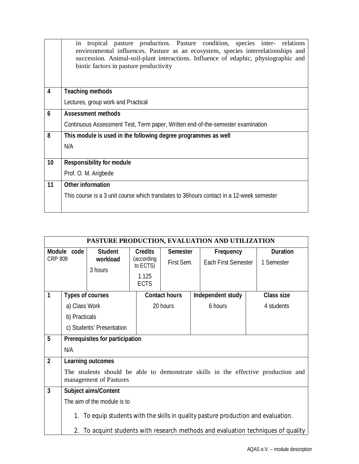|    | tropical pasture production. Pasture condition, species inter- relations<br>in<br>environmental influences. Pasture as an ecosystem, species interrelationships and<br>succession. Animal-soil-plant interactions. Influence of edaphic, physiographic and<br>biotic factors in pasture productivity |
|----|------------------------------------------------------------------------------------------------------------------------------------------------------------------------------------------------------------------------------------------------------------------------------------------------------|
| 4  | <b>Teaching methods</b>                                                                                                                                                                                                                                                                              |
|    | Lectures, group work and Practical                                                                                                                                                                                                                                                                   |
| 6  | <b>Assessment methods</b>                                                                                                                                                                                                                                                                            |
|    | Continuous Assessment Test, Term paper, Written end-of-the-semester examination                                                                                                                                                                                                                      |
| 8  | This module is used in the following degree programmes as well                                                                                                                                                                                                                                       |
|    | N/A                                                                                                                                                                                                                                                                                                  |
|    |                                                                                                                                                                                                                                                                                                      |
| 10 | <b>Responsibility for module</b>                                                                                                                                                                                                                                                                     |
|    | Prof. O. M. Arigbede                                                                                                                                                                                                                                                                                 |
| 11 | <b>Other information</b>                                                                                                                                                                                                                                                                             |
|    | This course is a 3 unit course which translates to 36 hours contact in a 12-week semester                                                                                                                                                                                                            |
|    |                                                                                                                                                                                                                                                                                                      |

|                         | PASTURE PRODUCTION, EVALUATION AND UTILIZATION                                        |                                        |                        |                      |  |                            |  |                                                                                   |
|-------------------------|---------------------------------------------------------------------------------------|----------------------------------------|------------------------|----------------------|--|----------------------------|--|-----------------------------------------------------------------------------------|
|                         | Module code                                                                           | <b>Student</b>                         | <b>Credits</b>         | <b>Semester</b>      |  | Frequency                  |  | <b>Duration</b>                                                                   |
| <b>CRP 809</b>          |                                                                                       | workload                               | (according<br>to ECTS) | First Sem.           |  | <b>Each First Semester</b> |  | 1 Semester                                                                        |
|                         |                                                                                       | 3 hours                                | 1.125                  |                      |  |                            |  |                                                                                   |
|                         |                                                                                       |                                        | <b>ECTS</b>            |                      |  |                            |  |                                                                                   |
| 1                       | <b>Types of courses</b>                                                               |                                        |                        | <b>Contact hours</b> |  | Independent study          |  | <b>Class size</b>                                                                 |
|                         | a) Class Work                                                                         |                                        |                        | 20 hours             |  | 6 hours                    |  | 4 students                                                                        |
|                         | b) Practicals                                                                         |                                        |                        |                      |  |                            |  |                                                                                   |
|                         |                                                                                       | c) Students' Presentation              |                        |                      |  |                            |  |                                                                                   |
| 5                       |                                                                                       | <b>Prerequisites for participation</b> |                        |                      |  |                            |  |                                                                                   |
|                         | N/A                                                                                   |                                        |                        |                      |  |                            |  |                                                                                   |
| $\overline{2}$          |                                                                                       | <b>Learning outcomes</b>               |                        |                      |  |                            |  |                                                                                   |
|                         |                                                                                       | management of Pastures                 |                        |                      |  |                            |  | The students should be able to demonstrate skills in the effective production and |
| $\overline{\mathbf{3}}$ |                                                                                       | <b>Subject aims/Content</b>            |                        |                      |  |                            |  |                                                                                   |
|                         |                                                                                       | The aim of the module is to            |                        |                      |  |                            |  |                                                                                   |
|                         | To equip students with the skills in quality pasture production and evaluation.<br>1. |                                        |                        |                      |  |                            |  |                                                                                   |
|                         | 2.                                                                                    |                                        |                        |                      |  |                            |  | To acquint students with research methods and evaluation techniques of quality    |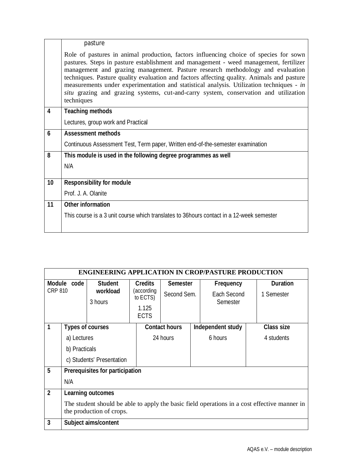|                  | pasture                                                                                                                                                                                                                                                                                                                                                                                                                                                                                                                                                         |
|------------------|-----------------------------------------------------------------------------------------------------------------------------------------------------------------------------------------------------------------------------------------------------------------------------------------------------------------------------------------------------------------------------------------------------------------------------------------------------------------------------------------------------------------------------------------------------------------|
|                  | Role of pastures in animal production, factors influencing choice of species for sown<br>pastures. Steps in pasture establishment and management - weed management, fertilizer<br>management and grazing management. Pasture research methodology and evaluation<br>techniques. Pasture quality evaluation and factors affecting quality. Animals and pasture<br>measurements under experimentation and statistical analysis. Utilization techniques - in<br>situ grazing and grazing systems, cut-and-carry system, conservation and utilization<br>techniques |
| 4                | <b>Teaching methods</b>                                                                                                                                                                                                                                                                                                                                                                                                                                                                                                                                         |
|                  | Lectures, group work and Practical                                                                                                                                                                                                                                                                                                                                                                                                                                                                                                                              |
| $\boldsymbol{6}$ | <b>Assessment methods</b>                                                                                                                                                                                                                                                                                                                                                                                                                                                                                                                                       |
|                  | Continuous Assessment Test, Term paper, Written end-of-the-semester examination                                                                                                                                                                                                                                                                                                                                                                                                                                                                                 |
| 8                | This module is used in the following degree programmes as well                                                                                                                                                                                                                                                                                                                                                                                                                                                                                                  |
|                  | N/A                                                                                                                                                                                                                                                                                                                                                                                                                                                                                                                                                             |
| 10               | <b>Responsibility for module</b>                                                                                                                                                                                                                                                                                                                                                                                                                                                                                                                                |
|                  | Prof. J. A. Olanite                                                                                                                                                                                                                                                                                                                                                                                                                                                                                                                                             |
|                  |                                                                                                                                                                                                                                                                                                                                                                                                                                                                                                                                                                 |
| 11               | <b>Other information</b>                                                                                                                                                                                                                                                                                                                                                                                                                                                                                                                                        |
|                  | This course is a 3 unit course which translates to 36 hours contact in a 12-week semester                                                                                                                                                                                                                                                                                                                                                                                                                                                                       |
|                  |                                                                                                                                                                                                                                                                                                                                                                                                                                                                                                                                                                 |

|                | <b>ENGINEERING APPLICATION IN CROP/PASTURE PRODUCTION</b>                                                                |                                        |                                                 |                      |  |                         |  |                   |  |
|----------------|--------------------------------------------------------------------------------------------------------------------------|----------------------------------------|-------------------------------------------------|----------------------|--|-------------------------|--|-------------------|--|
| <b>CRP 810</b> | Module code                                                                                                              | <b>Student</b><br>workload             | <b>Credits</b><br><b>Semester</b><br>(according |                      |  | Frequency               |  | <b>Duration</b>   |  |
|                |                                                                                                                          | 3 hours                                | to ECTS)<br>1.125                               | Second Sem.          |  | Fach Second<br>Semester |  | 1 Semester        |  |
|                |                                                                                                                          |                                        | <b>ECTS</b>                                     |                      |  |                         |  |                   |  |
| 1              | <b>Types of courses</b>                                                                                                  |                                        |                                                 | <b>Contact hours</b> |  | Independent study       |  | <b>Class size</b> |  |
|                | a) Lectures                                                                                                              |                                        |                                                 | 24 hours             |  | 6 hours                 |  | 4 students        |  |
|                | b) Practicals                                                                                                            |                                        |                                                 |                      |  |                         |  |                   |  |
|                |                                                                                                                          | c) Students' Presentation              |                                                 |                      |  |                         |  |                   |  |
| 5              |                                                                                                                          | <b>Prerequisites for participation</b> |                                                 |                      |  |                         |  |                   |  |
|                | N/A                                                                                                                      |                                        |                                                 |                      |  |                         |  |                   |  |
| $\overline{2}$ |                                                                                                                          | <b>Learning outcomes</b>               |                                                 |                      |  |                         |  |                   |  |
|                | The student should be able to apply the basic field operations in a cost effective manner in<br>the production of crops. |                                        |                                                 |                      |  |                         |  |                   |  |
| 3              |                                                                                                                          | Subject aims/content                   |                                                 |                      |  |                         |  |                   |  |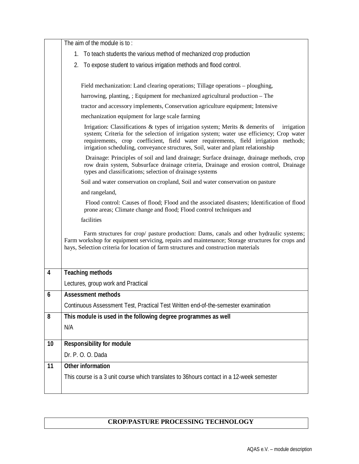|                         | The aim of the module is to:                                                                                                                                                                                                                                                                                                                                         |
|-------------------------|----------------------------------------------------------------------------------------------------------------------------------------------------------------------------------------------------------------------------------------------------------------------------------------------------------------------------------------------------------------------|
|                         | To teach students the various method of mechanized crop production<br>1.                                                                                                                                                                                                                                                                                             |
|                         | To expose student to various irrigation methods and flood control.<br>2.                                                                                                                                                                                                                                                                                             |
|                         |                                                                                                                                                                                                                                                                                                                                                                      |
|                         | Field mechanization: Land clearing operations; Tillage operations – ploughing,                                                                                                                                                                                                                                                                                       |
|                         | harrowing, planting, ; Equipment for mechanized agricultural production – The                                                                                                                                                                                                                                                                                        |
|                         | tractor and accessory implements, Conservation agriculture equipment; Intensive                                                                                                                                                                                                                                                                                      |
|                         | mechanization equipment for large scale farming                                                                                                                                                                                                                                                                                                                      |
|                         | Irrigation: Classifications & types of irrigation system; Merits & demerits of<br>irrigation<br>system; Criteria for the selection of irrigation system; water use efficiency; Crop water<br>requirements, crop coefficient, field water requirements, field irrigation methods;<br>irrigation scheduling, conveyance structures, Soil, water and plant relationship |
|                         | Drainage: Principles of soil and land drainage; Surface drainage, drainage methods, crop<br>row drain system, Subsurface drainage criteria, Drainage and erosion control, Drainage<br>types and classifications; selection of drainage systems                                                                                                                       |
|                         | Soil and water conservation on cropland, Soil and water conservation on pasture                                                                                                                                                                                                                                                                                      |
|                         | and rangeland,                                                                                                                                                                                                                                                                                                                                                       |
|                         | Flood control: Causes of flood; Flood and the associated disasters; Identification of flood<br>prone areas; Climate change and flood; Flood control techniques and                                                                                                                                                                                                   |
|                         | facilities                                                                                                                                                                                                                                                                                                                                                           |
|                         | Farm structures for crop/ pasture production: Dams, canals and other hydraulic systems;<br>Farm workshop for equipment servicing, repairs and maintenance; Storage structures for crops and<br>hays, Selection criteria for location of farm structures and construction materials                                                                                   |
| $\overline{\mathbf{4}}$ | <b>Teaching methods</b>                                                                                                                                                                                                                                                                                                                                              |
|                         | Lectures, group work and Practical                                                                                                                                                                                                                                                                                                                                   |
| 6                       | <b>Assessment methods</b>                                                                                                                                                                                                                                                                                                                                            |
|                         | Continuous Assessment Test, Practical Test Written end-of-the-semester examination                                                                                                                                                                                                                                                                                   |
| 8                       | This module is used in the following degree programmes as well                                                                                                                                                                                                                                                                                                       |
|                         | N/A                                                                                                                                                                                                                                                                                                                                                                  |
| 10                      |                                                                                                                                                                                                                                                                                                                                                                      |
|                         | <b>Responsibility for module</b>                                                                                                                                                                                                                                                                                                                                     |
|                         | Dr. P. O. O. Dada                                                                                                                                                                                                                                                                                                                                                    |
| 11                      | <b>Other information</b>                                                                                                                                                                                                                                                                                                                                             |
|                         | This course is a 3 unit course which translates to 36 hours contact in a 12-week semester                                                                                                                                                                                                                                                                            |
|                         |                                                                                                                                                                                                                                                                                                                                                                      |

## **CROP/PASTURE PROCESSING TECHNOLOGY**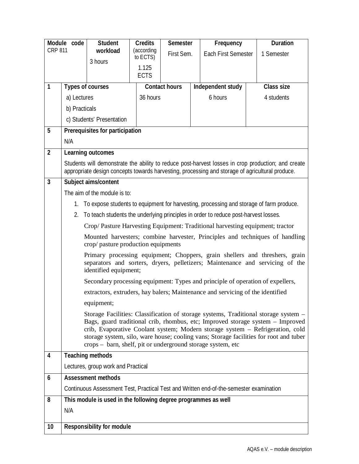|                         | Module code                                                                                                                                                                                                                                                                                                                                                                                                    | <b>Student</b>                                                 | <b>Credits</b>         | <b>Semester</b>      |                            | Frequency                                                                                       | <b>Duration</b>                                                                                                                                              |  |
|-------------------------|----------------------------------------------------------------------------------------------------------------------------------------------------------------------------------------------------------------------------------------------------------------------------------------------------------------------------------------------------------------------------------------------------------------|----------------------------------------------------------------|------------------------|----------------------|----------------------------|-------------------------------------------------------------------------------------------------|--------------------------------------------------------------------------------------------------------------------------------------------------------------|--|
| <b>CRP 811</b>          |                                                                                                                                                                                                                                                                                                                                                                                                                | workload                                                       | (according<br>to ECTS) | First Sem.           | <b>Each First Semester</b> |                                                                                                 | 1 Semester                                                                                                                                                   |  |
|                         |                                                                                                                                                                                                                                                                                                                                                                                                                | 3 hours                                                        | 1.125                  |                      |                            |                                                                                                 |                                                                                                                                                              |  |
|                         |                                                                                                                                                                                                                                                                                                                                                                                                                |                                                                | <b>ECTS</b>            |                      |                            |                                                                                                 |                                                                                                                                                              |  |
| 1                       | <b>Types of courses</b>                                                                                                                                                                                                                                                                                                                                                                                        |                                                                |                        | <b>Contact hours</b> |                            | Independent study                                                                               | <b>Class size</b>                                                                                                                                            |  |
|                         | a) Lectures                                                                                                                                                                                                                                                                                                                                                                                                    |                                                                | 36 hours               |                      |                            | 6 hours                                                                                         | 4 students                                                                                                                                                   |  |
|                         | b) Practicals                                                                                                                                                                                                                                                                                                                                                                                                  |                                                                |                        |                      |                            |                                                                                                 |                                                                                                                                                              |  |
|                         |                                                                                                                                                                                                                                                                                                                                                                                                                | c) Students' Presentation                                      |                        |                      |                            |                                                                                                 |                                                                                                                                                              |  |
| 5                       |                                                                                                                                                                                                                                                                                                                                                                                                                | <b>Prerequisites for participation</b>                         |                        |                      |                            |                                                                                                 |                                                                                                                                                              |  |
|                         | N/A                                                                                                                                                                                                                                                                                                                                                                                                            |                                                                |                        |                      |                            |                                                                                                 |                                                                                                                                                              |  |
| $\mathbf{2}$            |                                                                                                                                                                                                                                                                                                                                                                                                                | <b>Learning outcomes</b>                                       |                        |                      |                            |                                                                                                 |                                                                                                                                                              |  |
|                         |                                                                                                                                                                                                                                                                                                                                                                                                                |                                                                |                        |                      |                            | appropriate design concepts towards harvesting, processing and storage of agricultural produce. | Students will demonstrate the ability to reduce post-harvest losses in crop production; and create                                                           |  |
| $\overline{\mathbf{3}}$ |                                                                                                                                                                                                                                                                                                                                                                                                                | Subject aims/content                                           |                        |                      |                            |                                                                                                 |                                                                                                                                                              |  |
|                         |                                                                                                                                                                                                                                                                                                                                                                                                                | The aim of the module is to:                                   |                        |                      |                            |                                                                                                 |                                                                                                                                                              |  |
|                         | 1.                                                                                                                                                                                                                                                                                                                                                                                                             |                                                                |                        |                      |                            | To expose students to equipment for harvesting, processing and storage of farm produce.         |                                                                                                                                                              |  |
|                         |                                                                                                                                                                                                                                                                                                                                                                                                                |                                                                |                        |                      |                            | 2. To teach students the underlying principles in order to reduce post-harvest losses.          |                                                                                                                                                              |  |
|                         |                                                                                                                                                                                                                                                                                                                                                                                                                |                                                                |                        |                      |                            | Crop/Pasture Harvesting Equipment: Traditional harvesting equipment; tractor                    |                                                                                                                                                              |  |
|                         |                                                                                                                                                                                                                                                                                                                                                                                                                |                                                                |                        |                      |                            |                                                                                                 | Mounted harvesters; combine harvester, Principles and techniques of handling                                                                                 |  |
|                         |                                                                                                                                                                                                                                                                                                                                                                                                                | crop/ pasture production equipments                            |                        |                      |                            |                                                                                                 |                                                                                                                                                              |  |
|                         |                                                                                                                                                                                                                                                                                                                                                                                                                | identified equipment;                                          |                        |                      |                            |                                                                                                 | Primary processing equipment; Choppers, grain shellers and threshers, grain<br>separators and sorters, dryers, pelletizers; Maintenance and servicing of the |  |
|                         |                                                                                                                                                                                                                                                                                                                                                                                                                |                                                                |                        |                      |                            | Secondary processing equipment: Types and principle of operation of expellers,                  |                                                                                                                                                              |  |
|                         |                                                                                                                                                                                                                                                                                                                                                                                                                |                                                                |                        |                      |                            | extractors, extruders, hay balers; Maintenance and servicing of the identified                  |                                                                                                                                                              |  |
|                         |                                                                                                                                                                                                                                                                                                                                                                                                                | equipment;                                                     |                        |                      |                            |                                                                                                 |                                                                                                                                                              |  |
|                         | Storage Facilities: Classification of storage systems, Traditional storage system –<br>Bags, guard traditional crib, rhombus, etc; Improved storage system - Improved<br>crib, Evaporative Coolant system; Modern storage system - Refrigeration, cold<br>storage system, silo, ware house; cooling vans; Storage facilities for root and tuber<br>crops – barn, shelf, pit or underground storage system, etc |                                                                |                        |                      |                            |                                                                                                 |                                                                                                                                                              |  |
| 4                       |                                                                                                                                                                                                                                                                                                                                                                                                                | <b>Teaching methods</b>                                        |                        |                      |                            |                                                                                                 |                                                                                                                                                              |  |
|                         |                                                                                                                                                                                                                                                                                                                                                                                                                | Lectures, group work and Practical                             |                        |                      |                            |                                                                                                 |                                                                                                                                                              |  |
| 6                       |                                                                                                                                                                                                                                                                                                                                                                                                                | <b>Assessment methods</b>                                      |                        |                      |                            |                                                                                                 |                                                                                                                                                              |  |
|                         |                                                                                                                                                                                                                                                                                                                                                                                                                |                                                                |                        |                      |                            | Continuous Assessment Test, Practical Test and Written end-of-the-semester examination          |                                                                                                                                                              |  |
| 8                       |                                                                                                                                                                                                                                                                                                                                                                                                                | This module is used in the following degree programmes as well |                        |                      |                            |                                                                                                 |                                                                                                                                                              |  |
|                         | N/A                                                                                                                                                                                                                                                                                                                                                                                                            |                                                                |                        |                      |                            |                                                                                                 |                                                                                                                                                              |  |
| 10                      |                                                                                                                                                                                                                                                                                                                                                                                                                | <b>Responsibility for module</b>                               |                        |                      |                            |                                                                                                 |                                                                                                                                                              |  |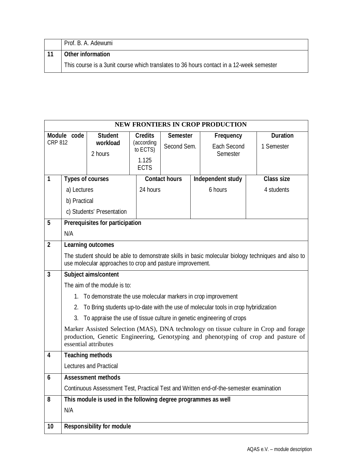| Prof. B. A. Adewumi                                                                      |
|------------------------------------------------------------------------------------------|
| <b>Other information</b>                                                                 |
| This course is a 3unit course which translates to 36 hours contact in a 12-week semester |

|                         | <b>NEW FRONTIERS IN CROP PRODUCTION</b> |                                                                 |                        |                      |  |                                                                                        |                                                                                                    |  |
|-------------------------|-----------------------------------------|-----------------------------------------------------------------|------------------------|----------------------|--|----------------------------------------------------------------------------------------|----------------------------------------------------------------------------------------------------|--|
|                         | Module code                             | <b>Student</b>                                                  | <b>Credits</b>         | <b>Semester</b>      |  | <b>Frequency</b>                                                                       | <b>Duration</b>                                                                                    |  |
| <b>CRP 812</b>          |                                         | workload                                                        | (according<br>to ECTS) | Second Sem.          |  | <b>Each Second</b>                                                                     | 1 Semester                                                                                         |  |
|                         |                                         | 2 hours                                                         | 1.125                  |                      |  | Semester                                                                               |                                                                                                    |  |
|                         |                                         |                                                                 | <b>ECTS</b>            |                      |  |                                                                                        |                                                                                                    |  |
| 1                       |                                         | <b>Types of courses</b>                                         |                        | <b>Contact hours</b> |  | Independent study                                                                      | <b>Class size</b>                                                                                  |  |
|                         | a) Lectures                             |                                                                 | 24 hours               |                      |  | 6 hours                                                                                | 4 students                                                                                         |  |
|                         | b) Practical                            |                                                                 |                        |                      |  |                                                                                        |                                                                                                    |  |
|                         |                                         | c) Students' Presentation                                       |                        |                      |  |                                                                                        |                                                                                                    |  |
| 5                       |                                         | <b>Prerequisites for participation</b>                          |                        |                      |  |                                                                                        |                                                                                                    |  |
|                         | N/A                                     |                                                                 |                        |                      |  |                                                                                        |                                                                                                    |  |
| $\overline{2}$          |                                         | <b>Learning outcomes</b>                                        |                        |                      |  |                                                                                        |                                                                                                    |  |
|                         |                                         |                                                                 |                        |                      |  |                                                                                        | The student should be able to demonstrate skills in basic molecular biology techniques and also to |  |
|                         |                                         | use molecular approaches to crop and pasture improvement.       |                        |                      |  |                                                                                        |                                                                                                    |  |
| $\overline{\mathbf{3}}$ |                                         | Subject aims/content                                            |                        |                      |  |                                                                                        |                                                                                                    |  |
|                         |                                         | The aim of the module is to:                                    |                        |                      |  |                                                                                        |                                                                                                    |  |
|                         |                                         | 1. To demonstrate the use molecular markers in crop improvement |                        |                      |  |                                                                                        |                                                                                                    |  |
|                         | 2.                                      |                                                                 |                        |                      |  | To Bring students up-to-date with the use of molecular tools in crop hybridization     |                                                                                                    |  |
|                         | 3.                                      |                                                                 |                        |                      |  | To appraise the use of tissue culture in genetic engineering of crops                  |                                                                                                    |  |
|                         |                                         |                                                                 |                        |                      |  |                                                                                        | Marker Assisted Selection (MAS), DNA technology on tissue culture in Crop and forage               |  |
|                         |                                         | essential attributes                                            |                        |                      |  |                                                                                        | production, Genetic Engineering, Genotyping and phenotyping of crop and pasture of                 |  |
| 4                       |                                         | <b>Teaching methods</b>                                         |                        |                      |  |                                                                                        |                                                                                                    |  |
|                         |                                         | <b>Lectures and Practical</b>                                   |                        |                      |  |                                                                                        |                                                                                                    |  |
| 6                       |                                         | <b>Assessment methods</b>                                       |                        |                      |  |                                                                                        |                                                                                                    |  |
|                         |                                         |                                                                 |                        |                      |  | Continuous Assessment Test, Practical Test and Written end-of-the-semester examination |                                                                                                    |  |
| 8                       |                                         | This module is used in the following degree programmes as well  |                        |                      |  |                                                                                        |                                                                                                    |  |
|                         | N/A                                     |                                                                 |                        |                      |  |                                                                                        |                                                                                                    |  |
| 10                      |                                         | <b>Responsibility for module</b>                                |                        |                      |  |                                                                                        |                                                                                                    |  |
|                         |                                         |                                                                 |                        |                      |  |                                                                                        |                                                                                                    |  |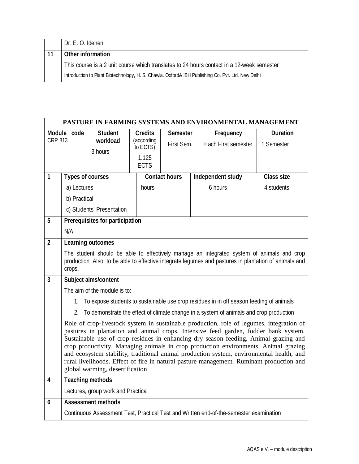| Dr. E. O. Idehen                                                                                  |
|---------------------------------------------------------------------------------------------------|
| Other information                                                                                 |
| This course is a 2 unit course which translates to 24 hours contact in a 12-week semester         |
| Introduction to Plant Biotechnology, H. S. Chawla. Oxford& IBH Publishing Co. Pvt. Ltd. New Delhi |

| PASTURE IN FARMING SYSTEMS AND ENVIRONMENTAL MANAGEMENT |                                                                                                                                                                                                                                                                                                                                                                                                                                                                                                                                                                                           |                                 |                |                          |  |                                                                                            |  |                                                                                                                                                                                                    |
|---------------------------------------------------------|-------------------------------------------------------------------------------------------------------------------------------------------------------------------------------------------------------------------------------------------------------------------------------------------------------------------------------------------------------------------------------------------------------------------------------------------------------------------------------------------------------------------------------------------------------------------------------------------|---------------------------------|----------------|--------------------------|--|--------------------------------------------------------------------------------------------|--|----------------------------------------------------------------------------------------------------------------------------------------------------------------------------------------------------|
|                                                         | Module code                                                                                                                                                                                                                                                                                                                                                                                                                                                                                                                                                                               | <b>Student</b>                  | <b>Credits</b> | <b>Semester</b>          |  | Frequency                                                                                  |  | <b>Duration</b>                                                                                                                                                                                    |
| <b>CRP 813</b>                                          |                                                                                                                                                                                                                                                                                                                                                                                                                                                                                                                                                                                           | workload                        | to ECTS)       | (according<br>First Sem. |  | Each First semester                                                                        |  | 1 Semester                                                                                                                                                                                         |
|                                                         |                                                                                                                                                                                                                                                                                                                                                                                                                                                                                                                                                                                           | 3 hours                         | 1.125          |                          |  |                                                                                            |  |                                                                                                                                                                                                    |
|                                                         |                                                                                                                                                                                                                                                                                                                                                                                                                                                                                                                                                                                           |                                 | <b>ECTS</b>    |                          |  |                                                                                            |  |                                                                                                                                                                                                    |
| 1                                                       | <b>Types of courses</b>                                                                                                                                                                                                                                                                                                                                                                                                                                                                                                                                                                   |                                 |                | <b>Contact hours</b>     |  | Independent study                                                                          |  | <b>Class size</b>                                                                                                                                                                                  |
|                                                         | a) Lectures                                                                                                                                                                                                                                                                                                                                                                                                                                                                                                                                                                               |                                 | hours          |                          |  | 6 hours                                                                                    |  | 4 students                                                                                                                                                                                         |
|                                                         | b) Practical                                                                                                                                                                                                                                                                                                                                                                                                                                                                                                                                                                              |                                 |                |                          |  |                                                                                            |  |                                                                                                                                                                                                    |
|                                                         |                                                                                                                                                                                                                                                                                                                                                                                                                                                                                                                                                                                           | c) Students' Presentation       |                |                          |  |                                                                                            |  |                                                                                                                                                                                                    |
| 5                                                       |                                                                                                                                                                                                                                                                                                                                                                                                                                                                                                                                                                                           | Prerequisites for participation |                |                          |  |                                                                                            |  |                                                                                                                                                                                                    |
|                                                         | N/A                                                                                                                                                                                                                                                                                                                                                                                                                                                                                                                                                                                       |                                 |                |                          |  |                                                                                            |  |                                                                                                                                                                                                    |
| $\overline{2}$                                          |                                                                                                                                                                                                                                                                                                                                                                                                                                                                                                                                                                                           | <b>Learning outcomes</b>        |                |                          |  |                                                                                            |  |                                                                                                                                                                                                    |
|                                                         | crops.                                                                                                                                                                                                                                                                                                                                                                                                                                                                                                                                                                                    |                                 |                |                          |  |                                                                                            |  | The student should be able to effectively manage an integrated system of animals and crop<br>production. Also, to be able to effective integrate legumes and pastures in plantation of animals and |
| $\overline{\mathbf{3}}$                                 |                                                                                                                                                                                                                                                                                                                                                                                                                                                                                                                                                                                           | Subject aims/content            |                |                          |  |                                                                                            |  |                                                                                                                                                                                                    |
|                                                         |                                                                                                                                                                                                                                                                                                                                                                                                                                                                                                                                                                                           | The aim of the module is to:    |                |                          |  |                                                                                            |  |                                                                                                                                                                                                    |
|                                                         |                                                                                                                                                                                                                                                                                                                                                                                                                                                                                                                                                                                           |                                 |                |                          |  | 1. To expose students to sustainable use crop residues in in off season feeding of animals |  |                                                                                                                                                                                                    |
|                                                         |                                                                                                                                                                                                                                                                                                                                                                                                                                                                                                                                                                                           |                                 |                |                          |  | 2. To demonstrate the effect of climate change in a system of animals and crop production  |  |                                                                                                                                                                                                    |
|                                                         | Role of crop-livestock system in sustainable production, role of legumes, integration of<br>pastures in plantation and animal crops. Intensive feed garden, fodder bank system.<br>Sustainable use of crop residues in enhancing dry season feeding. Animal grazing and<br>crop productivity. Managing animals in crop production environments. Animal grazing<br>and ecosystem stability, traditional animal production system, environmental health, and<br>rural livelihoods. Effect of fire in natural pasture management. Ruminant production and<br>global warming, desertification |                                 |                |                          |  |                                                                                            |  |                                                                                                                                                                                                    |
| $\overline{\mathbf{4}}$                                 |                                                                                                                                                                                                                                                                                                                                                                                                                                                                                                                                                                                           | <b>Teaching methods</b>         |                |                          |  |                                                                                            |  |                                                                                                                                                                                                    |
|                                                         | Lectures, group work and Practical                                                                                                                                                                                                                                                                                                                                                                                                                                                                                                                                                        |                                 |                |                          |  |                                                                                            |  |                                                                                                                                                                                                    |
| 6                                                       |                                                                                                                                                                                                                                                                                                                                                                                                                                                                                                                                                                                           | <b>Assessment methods</b>       |                |                          |  |                                                                                            |  |                                                                                                                                                                                                    |
|                                                         |                                                                                                                                                                                                                                                                                                                                                                                                                                                                                                                                                                                           |                                 |                |                          |  | Continuous Assessment Test, Practical Test and Written end-of-the-semester examination     |  |                                                                                                                                                                                                    |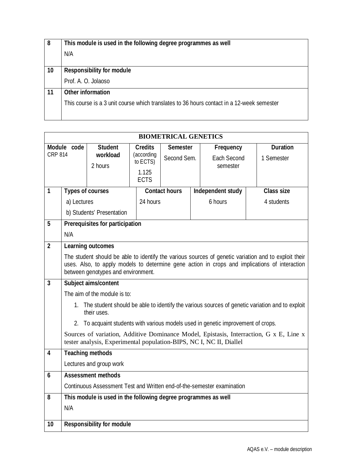| 8  | This module is used in the following degree programmes as well                            |
|----|-------------------------------------------------------------------------------------------|
|    | N/A                                                                                       |
|    |                                                                                           |
| 10 | <b>Responsibility for module</b>                                                          |
|    | Prof. A. O. Jolaoso                                                                       |
| 11 | <b>Other information</b>                                                                  |
|    | This course is a 3 unit course which translates to 36 hours contact in a 12-week semester |
|    |                                                                                           |

| <b>BIOMETRICAL GENETICS</b> |                                                                                                                                                               |                |                        |                      |  |                    |                   |  |
|-----------------------------|---------------------------------------------------------------------------------------------------------------------------------------------------------------|----------------|------------------------|----------------------|--|--------------------|-------------------|--|
|                             | Module code                                                                                                                                                   | <b>Student</b> | <b>Credits</b>         | <b>Semester</b>      |  | Frequency          | <b>Duration</b>   |  |
| <b>CRP 814</b>              |                                                                                                                                                               | workload       | (according<br>to ECTS) | Second Sem.          |  | <b>Each Second</b> | 1 Semester        |  |
|                             |                                                                                                                                                               | 2 hours        | 1.125                  |                      |  | semester           |                   |  |
|                             |                                                                                                                                                               |                | <b>ECTS</b>            |                      |  |                    |                   |  |
| $\mathbf{1}$                | <b>Types of courses</b>                                                                                                                                       |                |                        | <b>Contact hours</b> |  | Independent study  | <b>Class size</b> |  |
|                             | a) Lectures                                                                                                                                                   |                |                        | 24 hours             |  | 6 hours            | 4 students        |  |
|                             | b) Students' Presentation                                                                                                                                     |                |                        |                      |  |                    |                   |  |
| 5                           | <b>Prerequisites for participation</b>                                                                                                                        |                |                        |                      |  |                    |                   |  |
|                             | N/A                                                                                                                                                           |                |                        |                      |  |                    |                   |  |
| $\overline{2}$              | <b>Learning outcomes</b>                                                                                                                                      |                |                        |                      |  |                    |                   |  |
|                             | The student should be able to identify the various sources of genetic variation and to exploit their                                                          |                |                        |                      |  |                    |                   |  |
|                             | uses. Also, to apply models to determine gene action in crops and implications of interaction<br>between genotypes and environment.                           |                |                        |                      |  |                    |                   |  |
| $\overline{\mathbf{3}}$     | Subject aims/content                                                                                                                                          |                |                        |                      |  |                    |                   |  |
|                             | The aim of the module is to:                                                                                                                                  |                |                        |                      |  |                    |                   |  |
|                             | 1. The student should be able to identify the various sources of genetic variation and to exploit<br>their uses.                                              |                |                        |                      |  |                    |                   |  |
|                             | 2. To acquaint students with various models used in genetic improvement of crops.                                                                             |                |                        |                      |  |                    |                   |  |
|                             | Sources of variation, Additive Dominance Model, Epistasis, Interraction, G x E, Line x<br>tester analysis, Experimental population-BIPS, NC I, NC II, Diallel |                |                        |                      |  |                    |                   |  |
| $\overline{\mathbf{4}}$     | <b>Teaching methods</b>                                                                                                                                       |                |                        |                      |  |                    |                   |  |
|                             | Lectures and group work                                                                                                                                       |                |                        |                      |  |                    |                   |  |
| 6                           | <b>Assessment methods</b>                                                                                                                                     |                |                        |                      |  |                    |                   |  |
|                             | Continuous Assessment Test and Written end-of-the-semester examination                                                                                        |                |                        |                      |  |                    |                   |  |
| 8                           | This module is used in the following degree programmes as well                                                                                                |                |                        |                      |  |                    |                   |  |
|                             | N/A                                                                                                                                                           |                |                        |                      |  |                    |                   |  |
|                             | <b>Responsibility for module</b>                                                                                                                              |                |                        |                      |  |                    |                   |  |
| 10                          |                                                                                                                                                               |                |                        |                      |  |                    |                   |  |